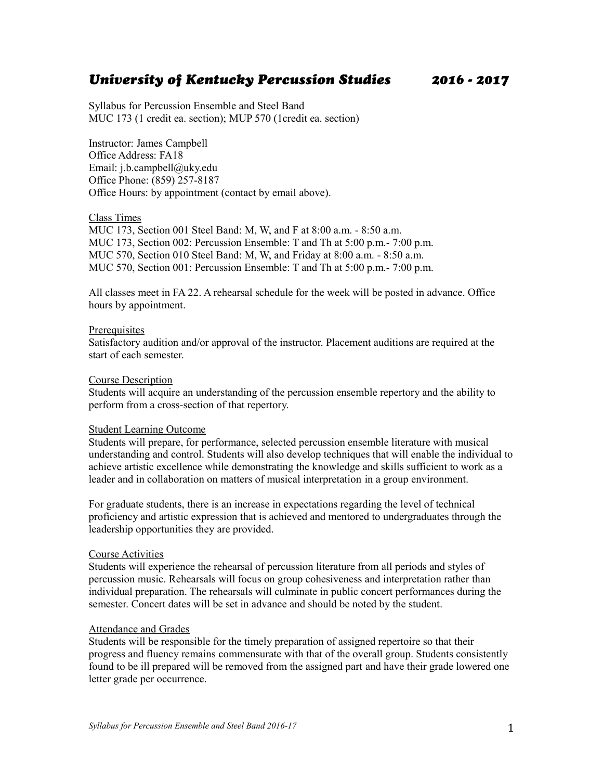# *University of Kentucky Percussion Studies 2016 - 2017*

Syllabus for Percussion Ensemble and Steel Band MUC 173 (1 credit ea. section); MUP 570 (1credit ea. section)

Instructor: James Campbell Office Address: FA18 Email: j.b.campbell@uky.edu Office Phone: (859) 257-8187 Office Hours: by appointment (contact by email above).

#### Class Times

MUC 173, Section 001 Steel Band: M, W, and F at 8:00 a.m. - 8:50 a.m. MUC 173, Section 002: Percussion Ensemble: T and Th at 5:00 p.m.- 7:00 p.m. MUC 570, Section 010 Steel Band: M, W, and Friday at 8:00 a.m. - 8:50 a.m. MUC 570, Section 001: Percussion Ensemble: T and Th at 5:00 p.m.- 7:00 p.m.

All classes meet in FA 22. A rehearsal schedule for the week will be posted in advance. Office hours by appointment.

#### **Prerequisites**

Satisfactory audition and/or approval of the instructor. Placement auditions are required at the start of each semester.

#### Course Description

Students will acquire an understanding of the percussion ensemble repertory and the ability to perform from a cross-section of that repertory.

#### Student Learning Outcome

Students will prepare, for performance, selected percussion ensemble literature with musical understanding and control. Students will also develop techniques that will enable the individual to achieve artistic excellence while demonstrating the knowledge and skills sufficient to work as a leader and in collaboration on matters of musical interpretation in a group environment.

For graduate students, there is an increase in expectations regarding the level of technical proficiency and artistic expression that is achieved and mentored to undergraduates through the leadership opportunities they are provided.

# Course Activities

Students will experience the rehearsal of percussion literature from all periods and styles of percussion music. Rehearsals will focus on group cohesiveness and interpretation rather than individual preparation. The rehearsals will culminate in public concert performances during the semester. Concert dates will be set in advance and should be noted by the student.

# Attendance and Grades

Students will be responsible for the timely preparation of assigned repertoire so that their progress and fluency remains commensurate with that of the overall group. Students consistently found to be ill prepared will be removed from the assigned part and have their grade lowered one letter grade per occurrence.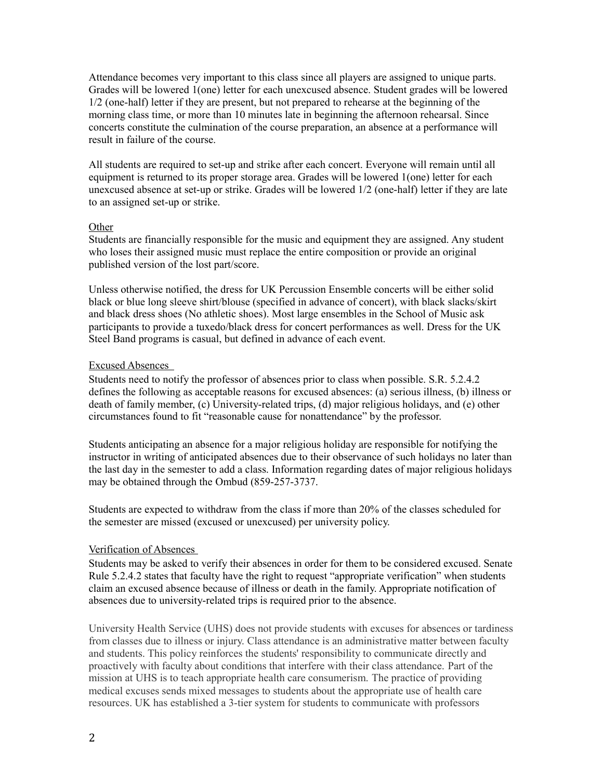Attendance becomes very important to this class since all players are assigned to unique parts. Grades will be lowered 1(one) letter for each unexcused absence. Student grades will be lowered 1/2 (one-half) letter if they are present, but not prepared to rehearse at the beginning of the morning class time, or more than 10 minutes late in beginning the afternoon rehearsal. Since concerts constitute the culmination of the course preparation, an absence at a performance will result in failure of the course.

All students are required to set-up and strike after each concert. Everyone will remain until all equipment is returned to its proper storage area. Grades will be lowered 1(one) letter for each unexcused absence at set-up or strike. Grades will be lowered 1/2 (one-half) letter if they are late to an assigned set-up or strike.

#### **Other**

Students are financially responsible for the music and equipment they are assigned. Any student who loses their assigned music must replace the entire composition or provide an original published version of the lost part/score.

Unless otherwise notified, the dress for UK Percussion Ensemble concerts will be either solid black or blue long sleeve shirt/blouse (specified in advance of concert), with black slacks/skirt and black dress shoes (No athletic shoes). Most large ensembles in the School of Music ask participants to provide a tuxedo/black dress for concert performances as well. Dress for the UK Steel Band programs is casual, but defined in advance of each event.

# Excused Absences

Students need to notify the professor of absences prior to class when possible. S.R. 5.2.4.2 defines the following as acceptable reasons for excused absences: (a) serious illness, (b) illness or death of family member, (c) University-related trips, (d) major religious holidays, and (e) other circumstances found to fit "reasonable cause for nonattendance" by the professor.

Students anticipating an absence for a major religious holiday are responsible for notifying the instructor in writing of anticipated absences due to their observance of such holidays no later than the last day in the semester to add a class. Information regarding dates of major religious holidays may be obtained through the Ombud (859-257-3737.

Students are expected to withdraw from the class if more than 20% of the classes scheduled for the semester are missed (excused or unexcused) per university policy.

# Verification of Absences

Students may be asked to verify their absences in order for them to be considered excused. Senate Rule 5.2.4.2 states that faculty have the right to request "appropriate verification" when students claim an excused absence because of illness or death in the family. Appropriate notification of absences due to university-related trips is required prior to the absence.

University Health Service (UHS) does not provide students with excuses for absences or tardiness from classes due to illness or injury. Class attendance is an administrative matter between faculty and students. This policy reinforces the students' responsibility to communicate directly and proactively with faculty about conditions that interfere with their class attendance. Part of the mission at UHS is to teach appropriate health care consumerism. The practice of providing medical excuses sends mixed messages to students about the appropriate use of health care resources. UK has established a 3-tier system for students to communicate with professors